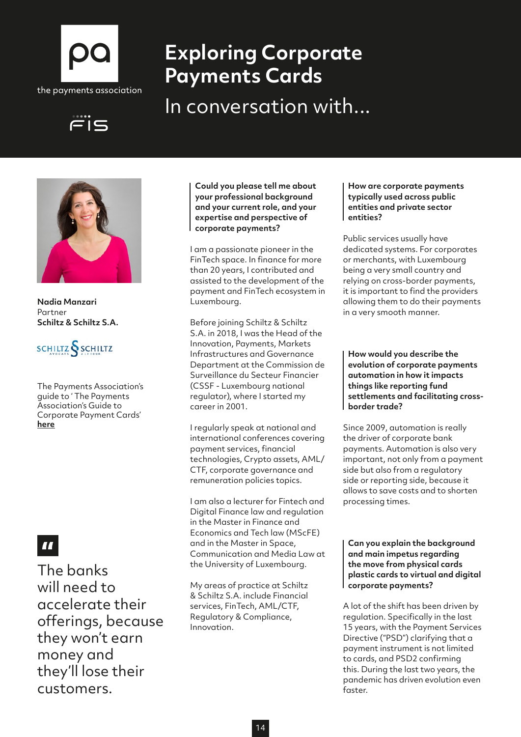

# **Exploring Corporate Payments Cards**

In conversation with...





**Nadia Manzari** Partner **Schiltz & Schiltz S.A.**



The Payments Association's guide to ' The Payments Association's Guide to Corporate Payment Cards' **[here](http://here)**

## $\mathbf{H}$

The banks will need to accelerate their offerings, because they won't earn money and they'll lose their customers.

**Could you please tell me about your professional background and your current role, and your expertise and perspective of corporate payments?**

I am a passionate pioneer in the FinTech space. In finance for more than 20 years, I contributed and assisted to the development of the payment and FinTech ecosystem in Luxembourg.

Before joining Schiltz & Schiltz S.A. in 2018, I was the Head of the Innovation, Payments, Markets Infrastructures and Governance Department at the Commission de Surveillance du Secteur Financier (CSSF - Luxembourg national regulator), where I started my career in 2001.

I regularly speak at national and international conferences covering payment services, financial technologies, Crypto assets, AML/ CTF, corporate governance and remuneration policies topics.

I am also a lecturer for Fintech and Digital Finance law and regulation in the Master in Finance and Economics and Tech law (MScFE) and in the Master in Space, Communication and Media Law at the University of Luxembourg.

My areas of practice at Schiltz & Schiltz S.A. include Financial services, FinTech, AML/CTF, Regulatory & Compliance, Innovation.

#### **How are corporate payments typically used across public entities and private sector entities?**

Public services usually have dedicated systems. For corporates or merchants, with Luxembourg being a very small country and relying on cross-border payments, it is important to find the providers allowing them to do their payments in a very smooth manner.

**How would you describe the evolution of corporate payments automation in how it impacts things like reporting fund settlements and facilitating crossborder trade?**

Since 2009, automation is really the driver of corporate bank payments. Automation is also very important, not only from a payment side but also from a regulatory side or reporting side, because it allows to save costs and to shorten processing times.

**Can you explain the background and main impetus regarding the move from physical cards plastic cards to virtual and digital corporate payments?**

A lot of the shift has been driven by regulation. Specifically in the last 15 years, with the Payment Services Directive ("PSD") clarifying that a payment instrument is not limited to cards, and PSD2 confirming this. During the last two years, the pandemic has driven evolution even faster.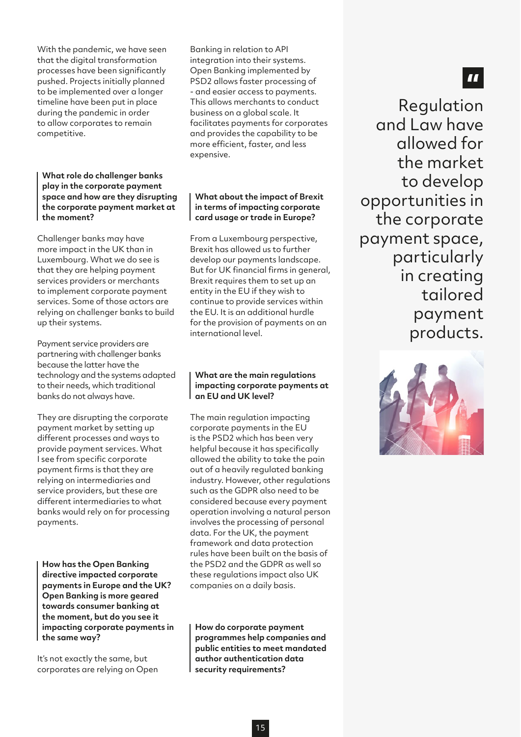With the pandemic, we have seen that the digital transformation processes have been significantly pushed. Projects initially planned to be implemented over a longer timeline have been put in place during the pandemic in order to allow corporates to remain competitive.

**What role do challenger banks play in the corporate payment space and how are they disrupting the corporate payment market at the moment?**

Challenger banks may have more impact in the UK than in Luxembourg. What we do see is that they are helping payment services providers or merchants to implement corporate payment services. Some of those actors are relying on challenger banks to build up their systems.

Payment service providers are partnering with challenger banks because the latter have the technology and the systems adapted to their needs, which traditional banks do not always have.

They are disrupting the corporate payment market by setting up different processes and ways to provide payment services. What I see from specific corporate payment firms is that they are relying on intermediaries and service providers, but these are different intermediaries to what banks would rely on for processing payments.

**How has the Open Banking directive impacted corporate payments in Europe and the UK? Open Banking is more geared towards consumer banking at the moment, but do you see it impacting corporate payments in the same way?**

It's not exactly the same, but corporates are relying on Open

Banking in relation to API integration into their systems. Open Banking implemented by PSD2 allows faster processing of - and easier access to payments. This allows merchants to conduct business on a global scale. It facilitates payments for corporates and provides the capability to be more efficient, faster, and less expensive.

#### **What about the impact of Brexit in terms of impacting corporate card usage or trade in Europe?**

From a Luxembourg perspective, Brexit has allowed us to further develop our payments landscape. But for UK financial firms in general, Brexit requires them to set up an entity in the EU if they wish to continue to provide services within the EU. It is an additional hurdle for the provision of payments on an international level.

#### **What are the main regulations impacting corporate payments at an EU and UK level?**

The main regulation impacting corporate payments in the EU is the PSD2 which has been very helpful because it has specifically allowed the ability to take the pain out of a heavily regulated banking industry. However, other regulations such as the GDPR also need to be considered because every payment operation involving a natural person involves the processing of personal data. For the UK, the payment framework and data protection rules have been built on the basis of the PSD2 and the GDPR as well so these regulations impact also UK companies on a daily basis.

**How do corporate payment programmes help companies and public entities to meet mandated author authentication data security requirements?**

### $\blacksquare$

Regulation and Law have allowed for the market to develop opportunities in the corporate payment space, particularly in creating tailored payment products.